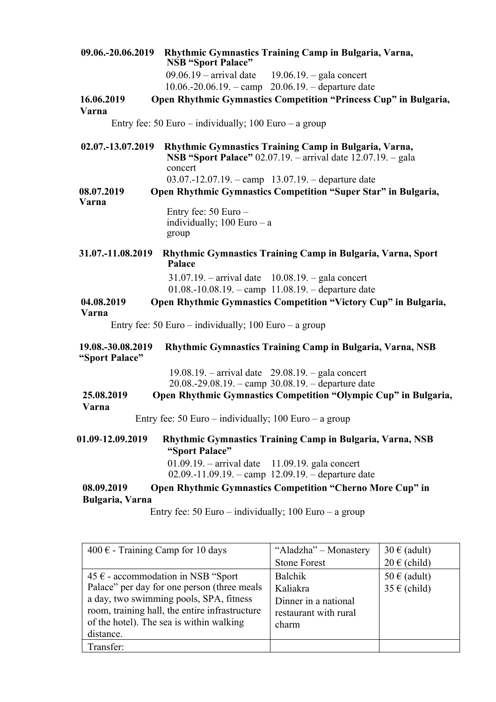| 09.06.-20.06.2019                   | Rhythmic Gymnastics Training Camp in Bulgaria, Varna,<br><b>NSB "Sport Palace"</b>                                                      |
|-------------------------------------|-----------------------------------------------------------------------------------------------------------------------------------------|
|                                     | $09.06.19$ – arrival date 19.06.19. – gala concert                                                                                      |
|                                     | $10.06.-20.06.19. -$ camp $20.06.19. -$ departure date                                                                                  |
| 16.06.2019                          | Open Rhythmic Gymnastics Competition "Princess Cup" in Bulgaria,                                                                        |
| Varna                               |                                                                                                                                         |
|                                     | Entry fee: 50 Euro – individually; 100 Euro – a group                                                                                   |
| 02.07.-13.07.2019                   | Rhythmic Gymnastics Training Camp in Bulgaria, Varna,<br><b>NSB "Sport Palace"</b> 02.07.19. – arrival date 12.07.19. – gala<br>concert |
|                                     | 03.07.-12.07.19. - camp $13.07.19$ . - departure date                                                                                   |
| 08.07.2019                          | Open Rhythmic Gymnastics Competition "Super Star" in Bulgaria,                                                                          |
| Varna                               |                                                                                                                                         |
|                                     | Entry fee: $50 Euro -$                                                                                                                  |
|                                     | individually; $100 Euro - a$                                                                                                            |
|                                     | group                                                                                                                                   |
| 31.07.-11.08.2019                   |                                                                                                                                         |
|                                     | Rhythmic Gymnastics Training Camp in Bulgaria, Varna, Sport<br>Palace                                                                   |
|                                     | $31.07.19$ . - arrival date $10.08.19$ . - gala concert                                                                                 |
|                                     | 01.08.-10.08.19. - camp 11.08.19. - departure date                                                                                      |
| 04.08.2019<br>Varna                 | Open Rhythmic Gymnastics Competition "Victory Cup" in Bulgaria,                                                                         |
|                                     | Entry fee: 50 Euro – individually; 100 Euro – a group                                                                                   |
| 19.08.-30.08.2019<br>"Sport Palace" | Rhythmic Gymnastics Training Camp in Bulgaria, Varna, NSB                                                                               |
|                                     | $19.08.19$ . - arrival date $29.08.19$ . - gala concert                                                                                 |
|                                     | $20.08.-29.08.19.$ - camp $30.08.19.$ - departure date                                                                                  |
| 25.08.2019                          | Open Rhythmic Gymnastics Competition "Olympic Cup" in Bulgaria,                                                                         |
| Varna                               |                                                                                                                                         |
|                                     | Entry fee: 50 Euro – individually; 100 Euro – a group                                                                                   |
| 01.09-12.09.2019                    | Rhythmic Gymnastics Training Camp in Bulgaria, Varna, NSB<br>"Sport Palace"                                                             |
|                                     | $01.09.19$ . - arrival date<br>$11.09.19$ . gala concert<br>02.09.-11.09.19. - camp 12.09.19. - departure date                          |
| 08.09.2019<br>Bulgaria, Varna       | <b>Open Rhythmic Gymnastics Competition "Cherno More Cup" in</b>                                                                        |
|                                     | Entry fee: 50 Euro – individually; 100 Euro – a group                                                                                   |
|                                     |                                                                                                                                         |
|                                     |                                                                                                                                         |
|                                     | $100F$ Training Camp for 10 days<br>" $\Lambda$ lodzko" Monostory 20 f (odult)                                                          |

| 400 $\epsilon$ - Training Camp for 10 days     | "Aladzha" - Monastery | $30 \in (adult)$ |
|------------------------------------------------|-----------------------|------------------|
|                                                | <b>Stone Forest</b>   | $20 \in (child)$ |
| 45 $∈$ - accommodation in NSB "Sport           | <b>Balchik</b>        | $50 \in (adult)$ |
| Palace" per day for one person (three meals    | Kaliakra              | $35 \in (child)$ |
| a day, two swimming pools, SPA, fitness        | Dinner in a national  |                  |
| room, training hall, the entire infrastructure | restaurant with rural |                  |
| of the hotel). The sea is within walking       | charm                 |                  |
| distance.                                      |                       |                  |
| Transfer:                                      |                       |                  |